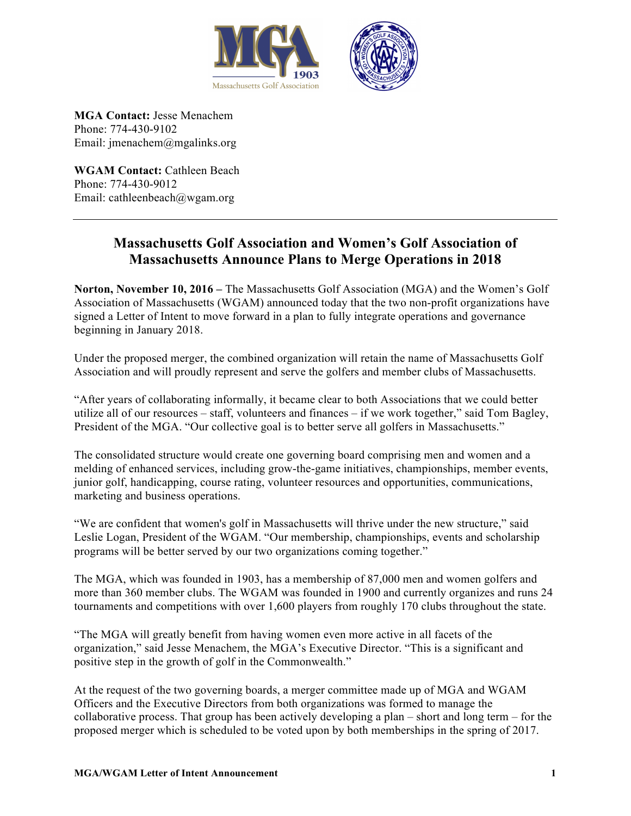



**MGA Contact:** Jesse Menachem Phone: 774-430-9102 Email: jmenachem@mgalinks.org

WGAM Contact: Cathleen Beach Phone: 774-430-9012 Email: cathleenbeach@wgam.org

## **Massachusetts Golf Association and Women's Golf Association of Massachusetts Announce Plans to Merge Operations in 2018**

**Norton, November 10, 2016 –** The Massachusetts Golf Association (MGA) and the Women's Golf Association of Massachusetts (WGAM) announced today that the two non-profit organizations have signed a Letter of Intent to move forward in a plan to fully integrate operations and governance beginning in January 2018.

Under the proposed merger, the combined organization will retain the name of Massachusetts Golf Association and will proudly represent and serve the golfers and member clubs of Massachusetts.

"After years of collaborating informally, it became clear to both Associations that we could better utilize all of our resources – staff, volunteers and finances – if we work together," said Tom Bagley, President of the MGA. "Our collective goal is to better serve all golfers in Massachusetts."

The consolidated structure would create one governing board comprising men and women and a melding of enhanced services, including grow-the-game initiatives, championships, member events, junior golf, handicapping, course rating, volunteer resources and opportunities, communications, marketing and business operations.

"We are confident that women's golf in Massachusetts will thrive under the new structure," said Leslie Logan, President of the WGAM. "Our membership, championships, events and scholarship programs will be better served by our two organizations coming together."

The MGA, which was founded in 1903, has a membership of 87,000 men and women golfers and more than 360 member clubs. The WGAM was founded in 1900 and currently organizes and runs 24 tournaments and competitions with over 1,600 players from roughly 170 clubs throughout the state.

"The MGA will greatly benefit from having women even more active in all facets of the organization," said Jesse Menachem, the MGA's Executive Director. "This is a significant and positive step in the growth of golf in the Commonwealth."

At the request of the two governing boards, a merger committee made up of MGA and WGAM Officers and the Executive Directors from both organizations was formed to manage the collaborative process. That group has been actively developing a plan – short and long term – for the proposed merger which is scheduled to be voted upon by both memberships in the spring of 2017.